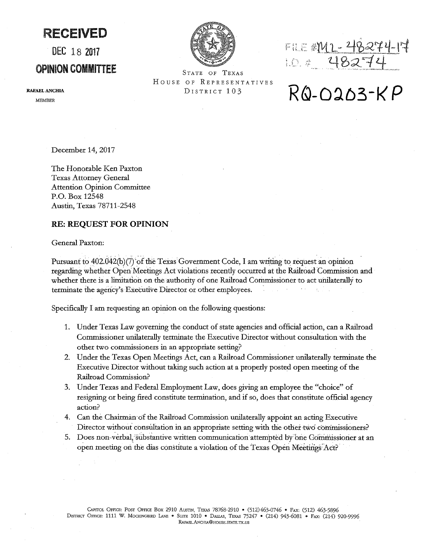RECEIVED

## DEC 18 <sup>2017</sup>

### OPINION COMMITTEE STATE OF TEXAS

HOUSE OF REPRESENTATIVES

FILE #M1 - 48274-17 10.0 48274

# DISTRICT 103 RQ-0203-KP

**RAFAEL ANCHIA**  MEMBER

December 14, 2017

The Honorable Ken Paxton Texas Attorney General Attention Opinion Committee P.O. Box 12548 Austin, Texas 78711-2548

### **RE: REQUEST FOR OPINION**

General Paxton:

Pursuant to  $402.042(b)(7)$  of the Texas Government Code, I am writing to request an opinion regarding whether Open: Meetings Act violations recently occurred at the Railroad Commission and whether there is a limitation on the authority of one Railroad Commissioner to act unilaterally to terminate the agency's Executive Director or other employees. .

Specifically I am requesting an opinion on the following questions:

- 1. Under Texas Law governing the conduct of state agencies and official action, can a Railroad Commissioner unilaterally terminate the Executive Director without consultation with the other two commissioners in an appropriate setting?
- 2. Under the Texas Open Meetings Act, can a Railroad Commissioner unilaterally terminate the Executive Director without taking such action at a properly posted open meeting of the Railroad Commission?
- 3. Under Texas and Federal Employment Law, does giving an employee the "choice" of resigning or being fired constitute termination, and if so, does that constitute official agency action?
- 4. Can the Chairman of the Railroad Commission unilaterally appoint an acting Executive Director without consultation in an appropriate setting with the other two commissioners?
- 5. Does non-verbal, substantive written communication attempted by one Gommissioner at an open meeting on the dias constitute a violation of the Texas Open Meetings Act?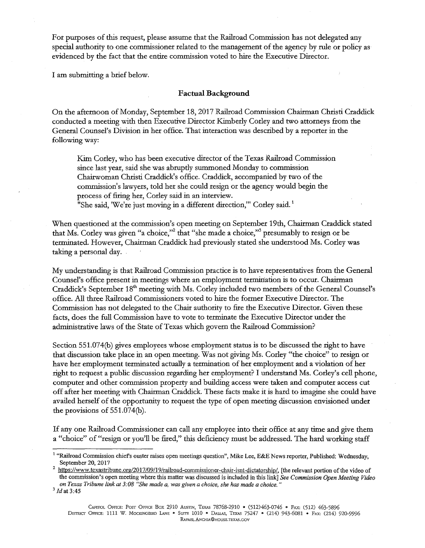For purposes of this request, please assume that the Railroad Commission has not delegated any special authority to one commissioner related to the management of the agency by rule or policy as evidenced by the fact that the entire commission voted to hire the Executive Director.

I am submitting a brief below.

#### **Factual Background**

On the afternoon of Monday, September 18, 2017 Railroad Commission Chairman Christi Craddick conducted a meeting with then Executive Director Kimberly Corley and two attorneys from the General Counsel's Division in her office. That interaction was described by a reporter in the following way:

Kim Corley, who has been executive director of the Texas Railroad Commission since last year, said she was abruptly summoned Monday to commission Chairwoman Christi Craddick's office. Craddick, accompanied by two of the commission's lawyers, told her she could resign or the agency would begin the process of firing her, Corley said in an interview.

"She said, 'We're just moving in a different direction," Corley said.<sup>1</sup>

When questioned at the commission's open meeting on September 19th, Chairman Craddick stated that Ms. Corley was given "a choice,"<sup>2</sup> that "she made a choice,"<sup>3</sup> presumably to resign or be terminated. However, Chairman Craddick had previously stated she understood Ms. Corley was taking a personal day.

My understanding is that Railroad Commission practice is to have representatives from the General Counsel's office present in meetings where an employment termination is to occur. Chairman Craddick's September 18<sup>th</sup> meeting with Ms. Corley included two members of the General Counsel's office. All three Railroad Commissioners voted to hire the former Executive Director. The Commission has not delegated to the Chair authority to fire the Executive Director. Given these facts, does the full Commission have to vote to terminate the Executive Director under the administrative laws of the State of Texas which govern the Railroad Commission?

Section 551.074(b) gives employees whose employment status is to be discussed the right to have that discussion take place in an open meeting. Was not giving Ms. Corley «the choice" to resign or have her employment terminated actually a termination of her employment and a violation of her right to request a public discussion regarding her employment? I understand Ms. Carley's cell phone, computer and other commission property and building access were taken and computer access cut off after her meeting with Chairman Craddick. These facts make it is hard to imagine she could have availed herself of the opportunity to request the type of open meeting discussion envisioned under the provisions of 551.074(b).

If any one Railroad Commissioner can call any employee into their office at any time and give them a "choice" of "resign or you'll be fired," this deficiency must be addressed. The hard working staff

<sup>&</sup>lt;sup>1</sup> "Railroad Commission chief's ouster raises open meetings question", Mike Lee, E&E News reporter, Published: Wednesday,

September 20, 2017<br><sup>2</sup> https://www.tcxastribune.org/2017/09/19/railroad-commissioner-chair-isnt-dictatorship/, [the relevant portion of the video of the commission's open meeting where this matter was discussed is included in this link] *See Commission Open Meeting Video on Texas Tribune link at 3:08 "She made a, was given a choice, she has made a choice."* <sup>3</sup>*Jdat* 3:45